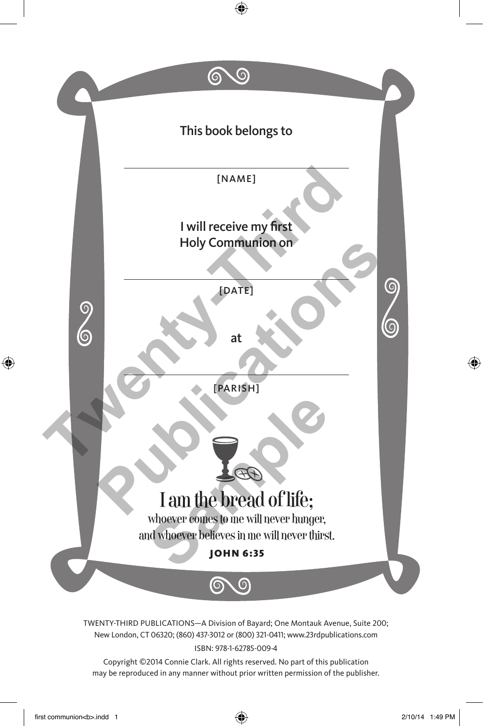

New London, CT 06320; (860) 437-3012 or (800) 321-0411; www.23rdpublications.com ISBN: 978-1-62785-009-4

Copyright ©2014 Connie Clark. All rights reserved. No part of this publication may be reproduced in any manner without prior written permission of the publisher.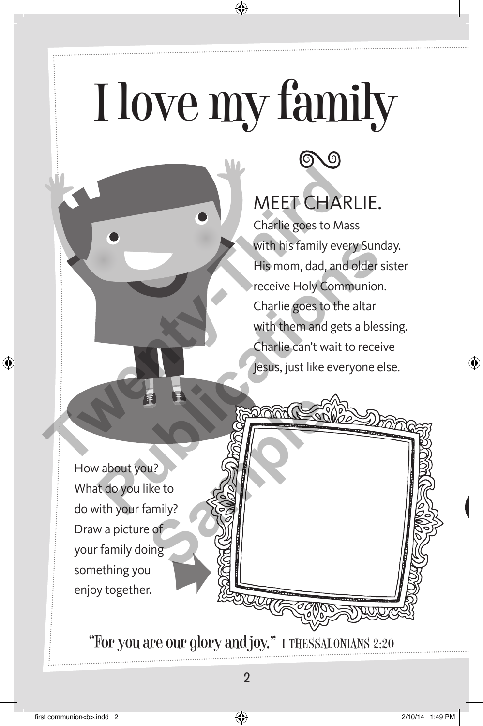## I love my family



#### MEET CHARLIE.

Charlie goes to Mass with his family every Sunday. His mom, dad, and older sister receive Holy Communion. Charlie goes to the altar with them and gets a blessing. Charlie can't wait to receive Jesus, just like everyone else. MEET CHARI<br>Charlie goes to Mass<br>with his family every<br>His mom, dad, and o<br>receive Holy Communication<br>Charlie goes to the a<br>with them and gets a<br>Charlie can't wait to<br>lesus, just like every With his family every Sundar<br>
His mom, dad, and older sist<br>
receive Holy Communion.<br>
Charlie goes to the altar<br>
with them and gets a blessis<br>
Charlie can't wait to receive<br>
Jesus, just like everyone else<br>
Jesus, just like

How about you? What do you like to do with your family? Draw a picture of your family doing something you en and you come thing you **Sample School Contract Contract Contract Contract Contract Contract Contract Contract Contract Contract Contract Contract Contract Contract Contract Contract Contract Contract Contract Contract Contract Contract Contract** 

"For you are our glory and joy." 1 Thessalonians 2:20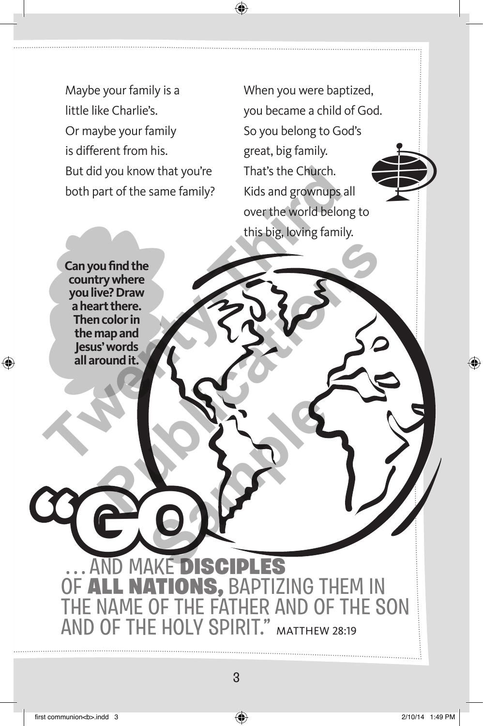Maybe your family is a little like Charlie's. Or maybe your family is different from his. But did you know that you're both part of the same family?

When you were baptized, you became a child of God. So you belong to God's great, big family. That's the Church. Kids and grownups all over the world belong to this big, loving family. d But did you know that you're<br>
both part of the same family? Kids and grownups all<br>
both part of the same family? Kids and grownups all<br>
over the world belong<br>
this big, loving family.<br>
Can you find the<br>
country where<br>
you

**Can you find the country where you live? Draw a heart there. Then color in the map and Jesus' words all around it.** Publicative Contribute Contribute Contribute Contribute Contribute Contribute Contribute Contribute Contribute Contribute Contribute Contribute Contribute Contribute Contribute Contribute Contribute Contribute Contribute C

**MAKE DISCIPLES NATIONS, BAPTIZING THEM IN** IF THE FATHER AND OF THE SON **OLY SPIRIT."** MATTHEW 28:19 **"GO SAMPLER**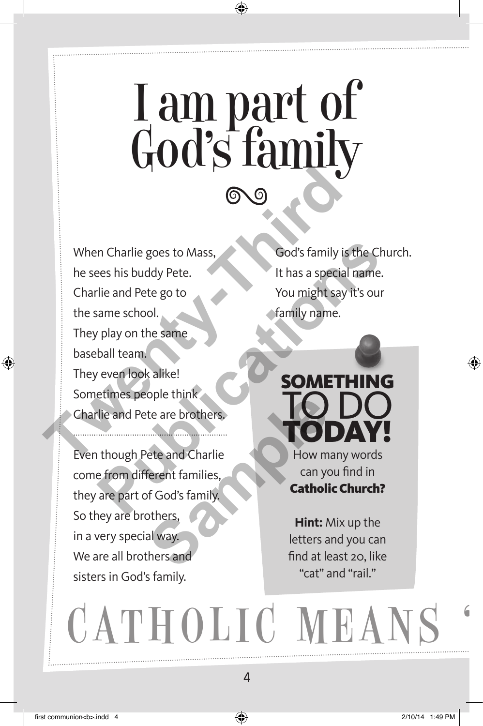## I am part of God's family

When Charlie goes to Mass, he sees his buddy Pete. Charlie and Pete go to the same school. They play on the same baseball team. They even look alike! Sometimes people think Charlie and Pete are brothers. When Charlie goes to Mass,<br>
the sees his buddy Pete.<br>
Charlie and Pete go to<br>
Charlie and Pete go to<br>
They play on the same<br>
They even look alike!<br>
Sometimes people think<br>
Charlie and Pete are brothers,<br>
Even though Pete a Francisco Cod's family is the Churches has buddy Pete.<br>
The and Pete go to<br>
The and Pete go to<br>
The same school.<br>
Play on the same<br>
ball team.<br>
Poly are look alike!<br>
The same school of anily name.<br>
Poly are look alike!<br>
Th

Even though Pete and Charlie come from different families, they are part of God's family. So they are brothers, in a very special way. We are all brothers and sisters in God's family. External and Charlie<br>
External Charlie<br>
Samples Carlie<br>
Samples Carlie<br>
Samples Carlie<br>
Samples Carlie<br>
Samples Carlie<br>
Samples Carlie<br>
Samples Carlie<br>
Samples Carlie<br>
External Way.<br>
External of The Carlie<br>
Samples Carlie<br>

God's family is the Church. It has a special name. You might say it's our family name.



can you find in Catholic Church?

**Hint:** Mix up the letters and you can find at least 20, like "cat" and "rail."

CATHOLIC MEANS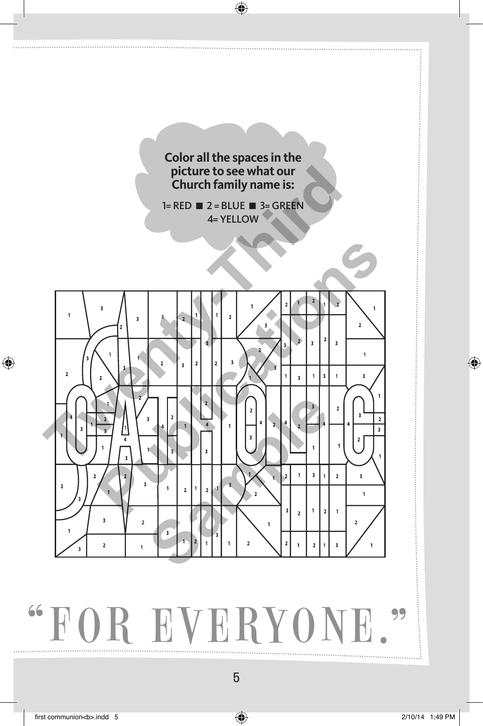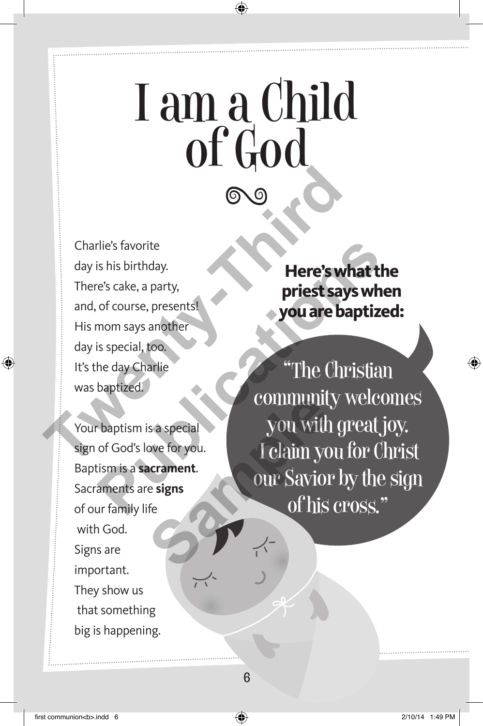## I am a Child of God

Charlie's favorite day is his birthday. There's cake, a party, and, of course, presents! His mom says another day is special, too. It's the day Charlie was baptized. Charlie's favorite<br>
day is his birthday.<br>
There's cake, a party,<br>
and, of course, presents!<br>
His mom says another<br>
day is special, too.<br>
It's the day Charlie<br>
was baptized.<br>
Your baptism is a special<br>
sign of God's love fo

Your baptism is a special sign of God's love for you. Baptism is a **sacrament**. Sacraments are **signs** of our family life with God. Signs are important. They show us that something big is happening.

**Here's what the priest says when you are baptized:** 

"The Christian community welcomes you with great joy. I claim you for Christ our Savior by the sign of his cross." File's favorite<br>
is his birthday.<br>
The Course, presents!<br>
The Christian of course, presents!<br> **Paptized.**<br> **Paptism is a special continuity wellow**<br>
baptized.<br> **Paptism is a special community wellow**<br>
of God's love for you **Sample Second COMMUNITY**<br>
Sample Second Section Community<br>
Community Community<br>
Sample Section Community<br>
Sample Section Community<br>
Sample Section Community<br>
Community Community<br>
Community<br>
Community<br>
Community<br>
Community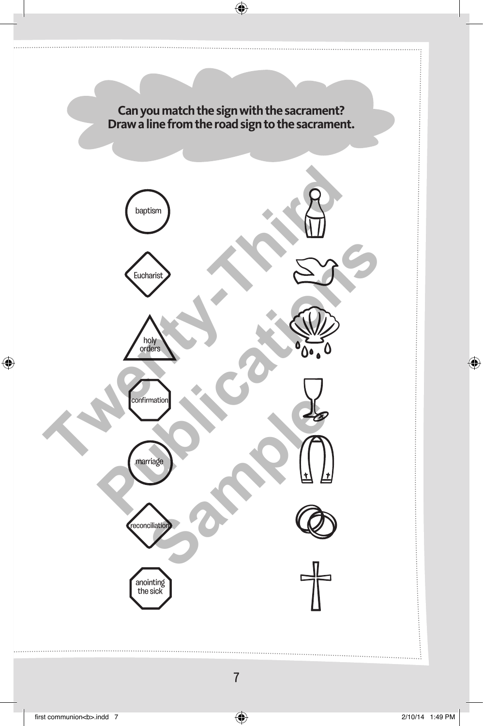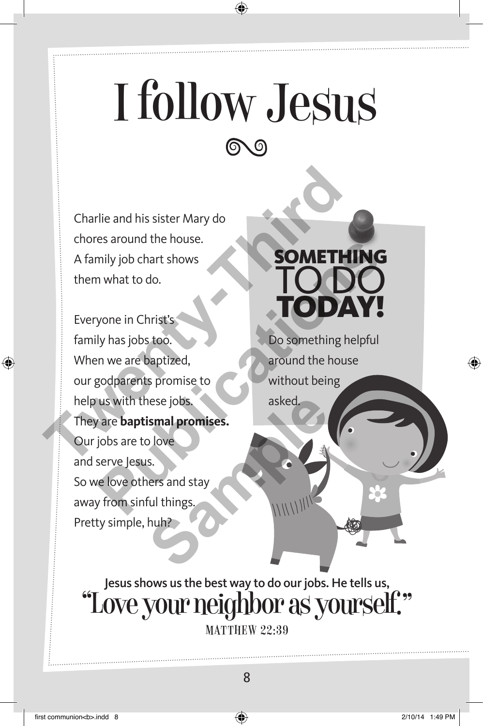## I follow Jesus

Charlie and his sister Mary do chores around the house. A family job chart shows them what to do.

Everyone in Christ's family has jobs too. When we are baptized, our godparents promise to help us with these jobs. They are **baptismal promises.** Our jobs are to love and serve Jesus. So we love others and stay away from sinful things. Pretty simple, huh? Charlie and his sister Mary do<br>
chores around the house.<br>
A family job chart shows<br>
them what to do.<br>
Everyone in Christ's<br>
family has jobs too.<br>
When we are baptized,<br>
our godparents promise to<br>
our godparents promise to<br> **PUBLICATE SOMETHING**<br>
What to do.<br> **PUBLICATE SOMETHING**<br>
Yone in Christ's<br>
Use in the nuclear of the spot of the spot of the spot of the spot of the spot of the spot of the spot of the spot of the spot of the spot of the hese jobs.<br> **Sample promises.**<br>
Salove<br>
S.<br>
Rers and stay<br>
ful things<br>
huh?<br>
Nuh?

#### **SOMETHING** to do today!

Do something helpful around the house without being asked.

Jesus shows us the best way to do our jobs. He tells us, "Love your neighbor as yourself." **MATTHEW 22:39**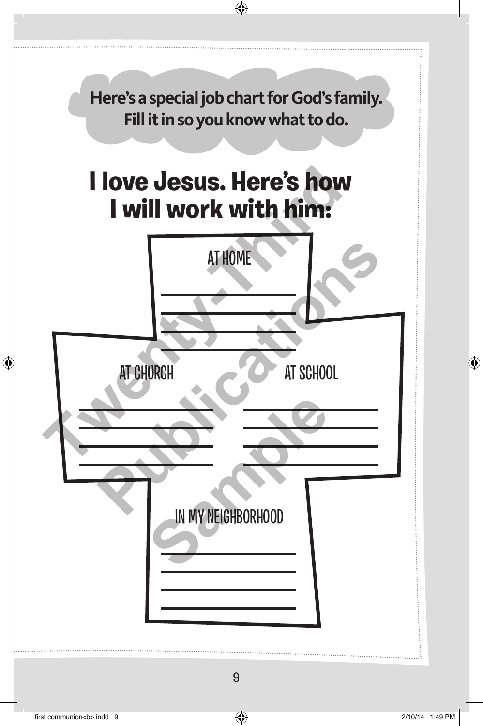**Here's a special job chart for God's family. Fill it in so you know what to do.**

#### **I love Jesus. Here's how I will work with him:**

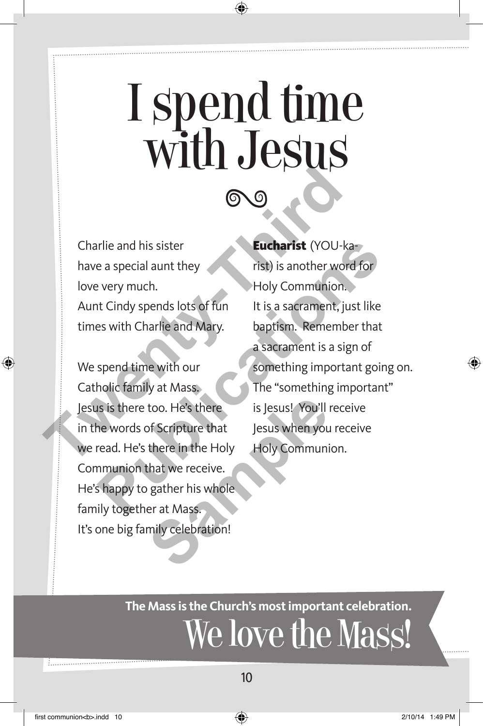## I spend time with Jesus

Charlie and his sister have a special aunt they love very much. Aunt Cindy spends lots of fun times with Charlie and Mary.

We spend time with our Catholic family at Mass. Jesus is there too. He's there in the words of Scripture that we read. He's there in the Holy Communion that we receive. He's happy to gather his whole family together at Mass. It's one big family celebration! too. He's there<br>
sof Scripture that<br>
sof Scripture that<br>
sexus when you<br>
there in the Holy<br>
Holy Communi<br>
that we receive.<br>
<br>
gather his whole<br>
er at Mass.<br>
mily celebration!

1. . . . . . . . . . . . . . . . . . .

#### Eucharist (YOU-ka-

rist) is another word for Holy Communion. It is a sacrament, just like baptism. Remember that a sacrament is a sign of something important going on. The "something important" is Jesus! You'll receive Jesus when you receive Holy Communion. Charlie and his sister<br>
Charlie and his sister<br>
have a special aunt they<br>
love very much.<br>
Aunt Cindy spends lots of functions are the Holy Communion.<br>
Aunt Cindy spends lots of functions is a sacrament, just<br>
times with C Figure 2013<br>
Purpose a special aunt they<br>
Purpose a special aunt they<br>
Purpose of Figure 1.1 Holy Communion.<br>
Holy Communion.<br>
Holy Communion.<br>
Holy Communion.<br>
Public family at Mass.<br>
Purpose the "something important goin

#### **The Mass is the Church's most important celebration.**  We love the Mass!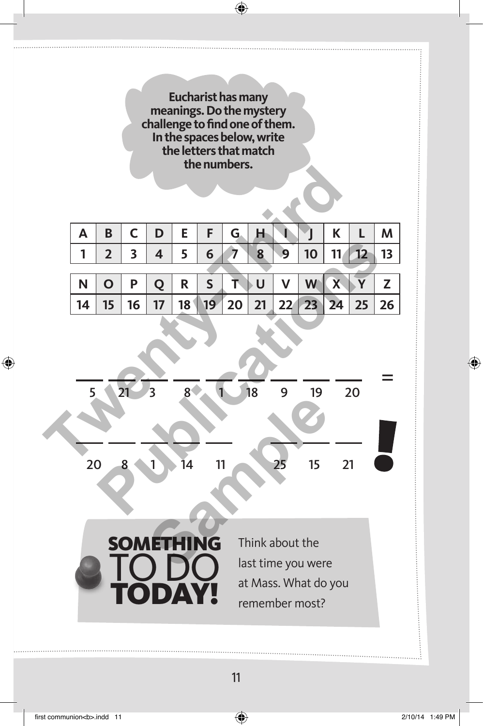**Eucharist has many meanings. Do the mystery challenge to find one of them. In the spaces below, write the letters that match the numbers.**

| <b>UICIMINGIS.</b> |    |                |              |    |                |                 |    |    |                 |    |                         |    |    |
|--------------------|----|----------------|--------------|----|----------------|-----------------|----|----|-----------------|----|-------------------------|----|----|
|                    |    |                |              |    |                |                 |    |    |                 |    |                         |    |    |
|                    | Α  | B              | $\mathsf C$  | D  | E              | F               | G. | Н  |                 |    | K                       | L  | M  |
|                    | 1  | $\overline{2}$ | 3            | 4  | 5              | 6               | 7  | 8  | 9               | 10 | 11                      | 12 | 13 |
|                    |    |                |              |    |                |                 |    |    |                 |    |                         |    |    |
|                    | N  | $\mathbf O$    | P            | Q  | R              | $\mathsf{S}$    | T  | U  | $\mathsf{V}$    | W  | $\overline{\mathbf{X}}$ | Ÿ  | Z  |
|                    | 14 | 15             | 16           | 17 | 18             | 19 <sup>°</sup> | 20 | 21 | 22 <sub>1</sub> | 23 | 24                      | 25 | 26 |
|                    | 5  |                | 21           | 3  | 8 <sup>1</sup> |                 | 1  | 18 | 9               | 19 |                         | 20 |    |
|                    | ንስ |                | $\mathbf{Q}$ | 1  | īл             | 11              |    |    | つぐ              | 15 | 21                      |    |    |

= 5 21 3 8 1 18 9 19 20 20 8 1 14 11 25 15 21 **Publications Sample 14**<br> **Sample 11**<br> **Sample 11**<br> **Sample 11**<br> **Sample 125**<br> **Sample 125**<br> **Sample 125**<br> **Sample 125**<br> **Sample 125**<br> **Sample 125**<br> **Sample 125**<br> **Sample 125**<br> **Sample 125**<br> **Sample 125**<br> **Sample 125**<br> **Sample 125**<br> **S** 

**SOMETHING** 

today!

to do

Think about the last time you were at Mass. What do you remember most?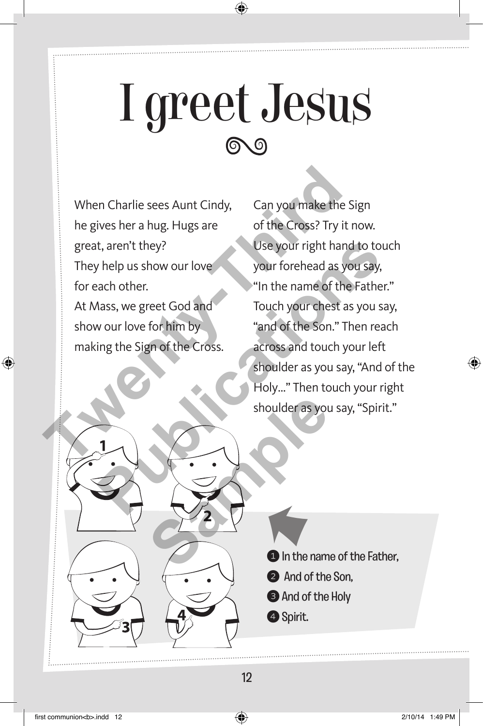## I greet Jesus

When Charlie sees Aunt Cindy, he gives her a hug. Hugs are great, aren't they? They help us show our love for each other. At Mass, we greet God and show our love for him by making the Sign of the Cross. When Charlie sees Aunt Cindy, Can you make the Si<br>
he gives her a hug. Hugs are of the Cross? Try it n<br>
great, aren't they?<br>
They help us show our love<br>
for each other.<br>
At Mass, we greet God and<br>
show our love for him by<br>

Can you make the Sign of the Cross? Try it now. Use your right hand to touch your forehead as you say, "In the name of the Father." Touch your chest as you say, "and of the Son." Then reach across and touch your left shoulder as you say, "And of the Holy…" Then touch your right shoulder as you say, "Spirit." t, aren't they?<br>
Thelp us show our love<br>
your forehead as you say,<br>
wour love for him by<br>
wour love for him by<br>
wour love for him by<br>
"and of the Son." Then reach<br>
strong the Sign of the Cross.<br>
across and touch your left<br> shoulder as you<br>
a property of the name of the name of the name of the name of the name of the name of the name of the name of the name of the name of the name of the name of the name of the name of the name of the name of

**1** In the name of the Father, K

- **2** And of the Son.
- **3** And of the Holy
- 4 Spirit.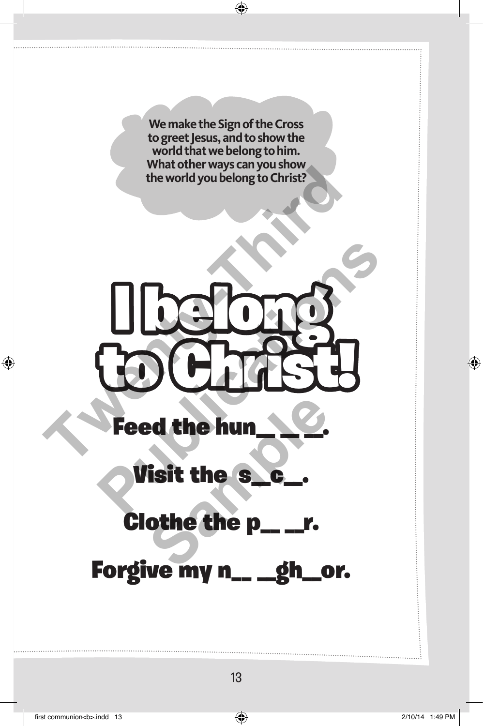**We make the Sign of the Cross to greet Jesus, and to show the world that we belong to him. What other ways can you show the world you belong to Christ?**



Feed the hun

Visit the s\_\_c\_\_.

Clothe the p\_ \_r. **Sample**

Forgive my n\_\_ \_gh\_or.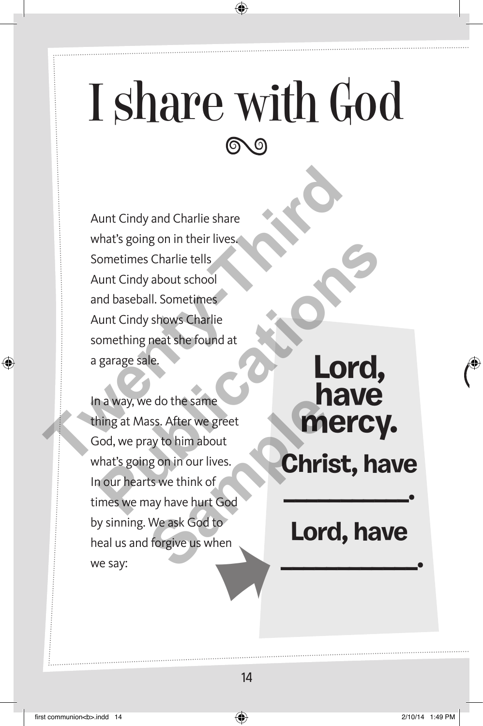#### I share with God (ବ

Aunt Cindy and Charlie share what's going on in their lives. Sometimes Charlie tells Aunt Cindy about school and baseball. Sometimes Aunt Cindy shows Charlie something neat she found at a garage sale. Aunt Cindy and Charlie share<br>what's going on in their lives.<br>Sometimes Charlie tells<br>Aunt Cindy about school<br>and baseball. Sometimes<br>Aunt Cindy shows Charlie<br>something neat she found at<br>a garage sale.<br>In a way, we do the s Fractional Charlier High School and baseball. Sometimes<br>
unt Cindy about school<br>
Ind baseball. Sometimes<br>
unt Cindy shows Charlie<br>
omething neat she found at<br>
garage sale.<br>
<br> **PRICY**,<br>
<br> **PRICY**<br>
<br>
PRICY<br>
<br>
<br>
Analys, we do

In a way, we do the same thing at Mass. After we greet God, we pray to him about what's going on in our lives. In our hearts we think of times we may have hurt God by sinning. We ask God to heal us and forgive us when<br>we say:<br>Capacity when the same say: e do the same<br>
sss. After we greet<br>
ay to him about<br>
Ig on in our lives.<br>
ts we think of<br>
nay have hurt God<br>
We ask God to<br>
If orgive us when<br>
I **COM** 

#### **Lord, have mercy. Christ, have**

#### **Lord, have**

 **\_\_\_\_\_\_\_\_\_\_\_\_.**

**\_\_\_\_\_\_\_\_\_\_\_.**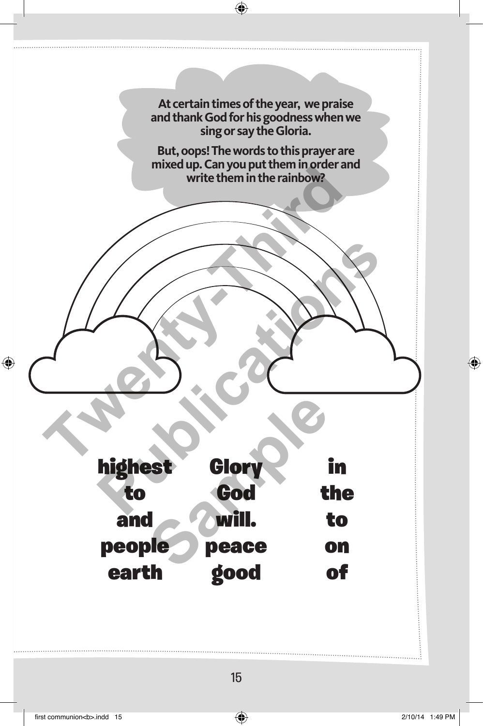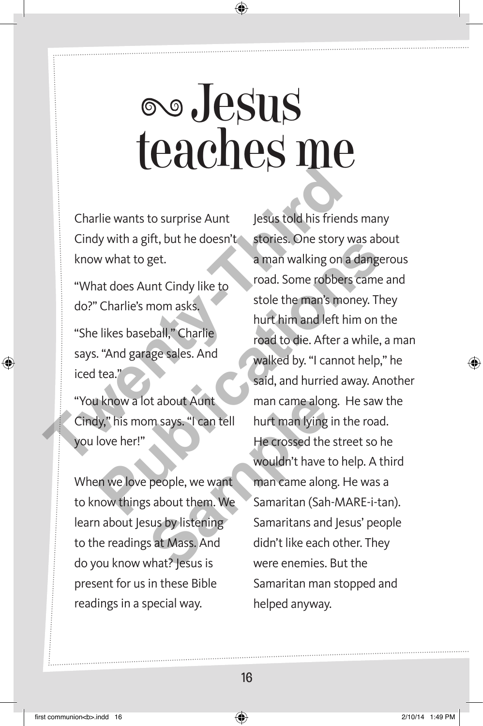## Jesus teaches me

Charlie wants to surprise Aunt Cindy with a gift, but he doesn't know what to get.

"What does Aunt Cindy like to do?" Charlie's mom asks. "She likes baseball," Charlie says. "And garage sales. And iced tea."

"You know a lot about Aunt Cindy," his mom says. "I can tell you love her!"

When we love people, we want to know things about them. We learn about Jesus by listening to the readings at Mass. And do you know what? Jesus is present for us in these Bible readings in a special way.

Jesus told his friends many stories. One story was about a man walking on a dangerous road. Some robbers came and stole the man's money. They hurt him and left him on the road to die. After a while, a man walked by. "I cannot help," he said, and hurried away. Another man came along. He saw the hurt man lying in the road. He crossed the street so he wouldn't have to help. A third man came along. He was a Samaritan (Sah-MARE-i-tan). Samaritans and Jesus' people didn't like each other. They were enemies. But the Samaritan man stopped and helped anyway. Charlie wants to surprise Aunt<br>
Charlie wants to surprise Aunt<br>
Cindy with a gift, but he doesn't stories. One story was a man walking on a c<br>
"What does Aunt Cindy like to<br>
do?" Charlie's mom asks, the store robbers is to What to get.<br>
what to get.<br>
a man walking on a dangere<br>
at does Aunt Cindy like to<br>
coad. Some robbers came are<br>
charlie's mom asks.<br>
likes baseball," Charlie<br>
"And garage sales. And<br>
the man's money. They<br>
the crossed by. of about Aunt<br>
m says. "I can tell<br>
hurt man lying<br>
He crossed the<br>
wouldn't have t<br>
people, we want<br>
man came alon<br>
sabout them. We<br>
Samaritan (Sah<br>
sus by listening<br>
samaritans and<br>
sat Mass. And<br>
didn't like each<br>
what?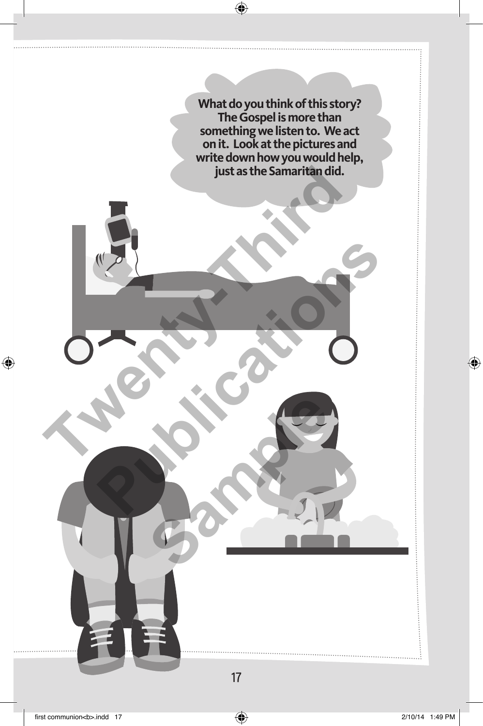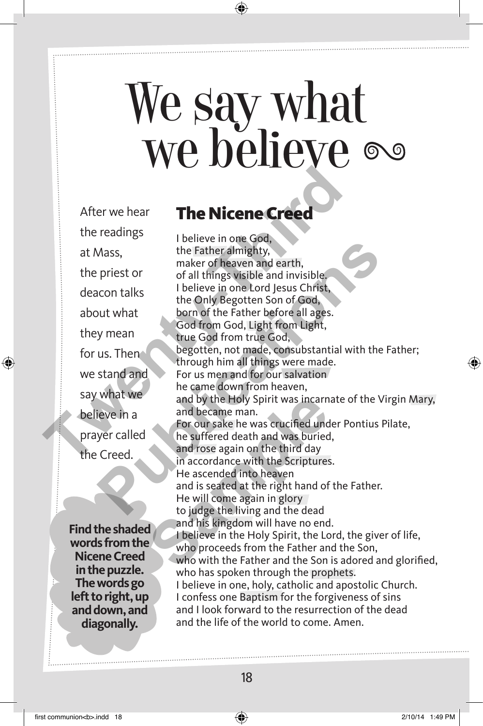## We say what we believe

After we hear the readings at Mass, the priest or deacon talks about what they mean for us. Then we stand and say what we believe in a prayer called the Creed.

**Find the shaded words from the Nicene Creed in the puzzle. The words go left to right, up and down, and diagonally.** 

#### The Nicene Creed

I believe in one God, the Father almighty, maker of heaven and earth, of all things visible and invisible. I believe in one Lord Jesus Christ, the Only Begotten Son of God, born of the Father before all ages. God from God, Light from Light, true God from true God, begotten, not made, consubstantial with the Father; through him all things were made. For us men and for our salvation he came down from heaven, and by the Holy Spirit was incarnate of the Virgin Mary, and became man. For our sake he was crucified under Pontius Pilate, he suffered death and was buried, and rose again on the third day in accordance with the Scriptures. He ascended into heaven and is seated at the right hand of the Father. He will come again in glory to judge the living and the dead and his kingdom will have no end. I believe in the Holy Spirit, the Lord, the giver of life, who proceeds from the Father and the Son, who with the Father and the Son is adored and glorified, who has spoken through the prophets. I believe in one, holy, catholic and apostolic Church. I confess one Baptism for the forgiveness of sins and I look forward to the resurrection of the dead and the life of the world to come. Amen. After we hear<br>
the readings<br>
the First or<br>
the Father almighty,<br>
the priest or<br>
the First or<br>
the First of all things visible and invisible,<br>
deacon talks<br>
the prince of persist in the origin of God,<br>
they mean<br>
the Congre Mass,<br>
the Father almighty,<br>
maker of heaven and earth,<br>
priest or<br>
of all things visible and invisible.<br>
Locon talks<br>
Locon talks<br>
the Only Begotten Son of Good,<br>
but what<br>
born of the Father before all ages.<br>
God from Go and by the Holy Spirit was incarn<br>and became man.<br>For our sake he was crucified und<br>he suffered death and was buried<br>and rose again on the third day<br>in accordance with the Scriptures<br>He ascended into heaven<br>and is seated a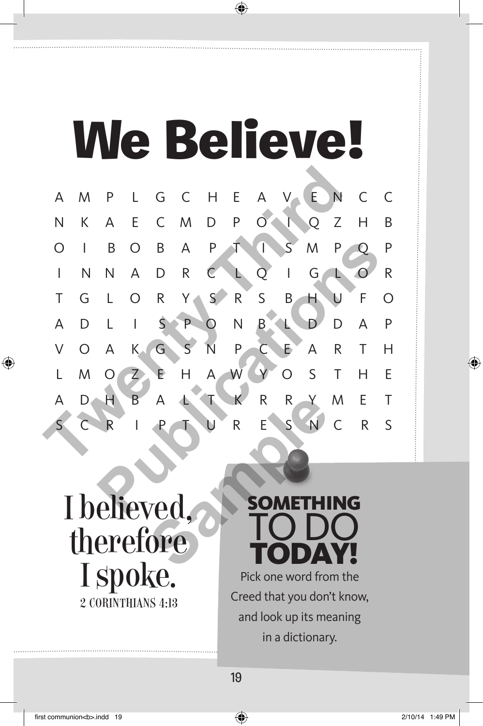## We Believe!



#### I believed, therefore I spoke. 2 Corinthians 4:13

#### **SOMETHING** to do **TODAY!**

Pick one word from the Creed that you don't know, and look up its meaning in a dictionary.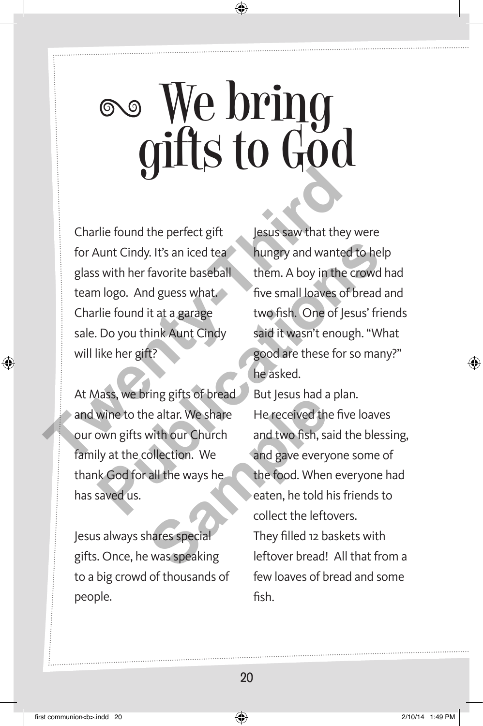## We bring gifts to God

Charlie found the perfect gift for Aunt Cindy. It's an iced tea glass with her favorite baseball team logo. And guess what. Charlie found it at a garage sale. Do you think Aunt Cindy will like her gift? Charlie found the perfect gift<br>
for Aunt Cindy. It's an iced tea<br>
glass with her favorite baseball<br>
them. A boy in the ci<br>
team logo. And guess what<br>
Charlie found it at a garage<br>
sale. Do you think Aunt Cindy<br>
will like h

At Mass, we bring gifts of bread and wine to the altar. We share our own gifts with our Church family at the collection. We thank God for all the ways he has saved us.

Jesus always shares special gifts. Once, he was speaking to a big crowd of thousands of people.

Jesus saw that they were hungry and wanted to help them. A boy in the crowd had five small loaves of bread and two fish. One of Jesus' friends said it wasn't enough. "What good are these for so many?" he asked. Aunt Cindy. It's an iced teaching wand wanted to help<br>
In logo. And guess what<br>
The favorite baseball<br>
The small loaves of bread are<br>
The found it at a garage<br>
Do you think Aunt Cindy<br>
Said it wasn't enough. "What<br>
In the

But Jesus had a plan. He received the five loaves and two fish, said the blessing, and gave everyone some of the food. When everyone had eaten, he told his friends to collect the leftovers. They filled 12 baskets with leftover bread! All that from a few loaves of bread and some fish. Fing gives of bread<br>
lead to but jesus had a<br>
lead to but jesus had a<br>
with our Church<br>
and two fish, said the ways he<br>
and gave every<br>
all the ways he<br>
the food. Wher<br>
eaten, he told h<br>
collect the left<br>
collect the left<br>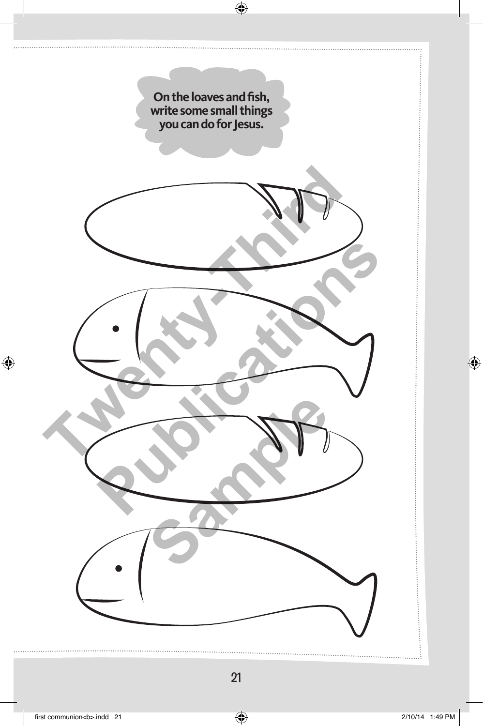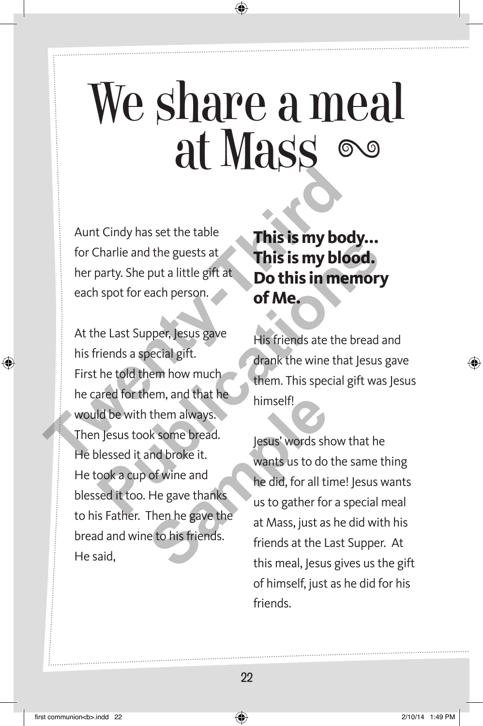## We share a meal at Mass

Aunt Cindy has set the table for Charlie and the guests at her party. She put a little gift at each spot for each person.

At the Last Supper, Jesus gave his friends a special gift. First he told them how much he cared for them, and that he would be with them always. Then Jesus took some bread. He blessed it and broke it. He took a cup of wine and blessed it too. He gave thanks to his Father. Then he gave the bread and wine to his friends. He said, Aunt Cindy has set the table<br>for Charlie and the guests at<br>her party. She put a little gift at<br>each spot for each person.<br>At the Last Supper, Jesus gave<br>his friends a special gift.<br>First he told them how much<br>he cared for This is my blood.<br>
Do this in memory<br>
a little gift at<br> **Publication is provided.**<br>
This is my blood.<br>
This is my blood.<br>
This is my blood.<br>
This is my blood.<br>
This is my blood.<br>
of Me.<br>
The load them how much<br>
then. This Frame always.<br>
Some bread.<br>
Inself!<br>
Inself!<br>
Inself!<br>
Inself!<br>
Inself!<br>
Inself!<br>
Inself!<br>
Inself!<br>
Inself!<br>
Inself!<br>
Inself!<br>
Inself!<br>
Inself!<br>
Inself!<br>
Inself!<br>
Inself!<br>
Inself at Mass, just as<br>
Friends at the L<br>
this me

**This is my body... This is my blood. Do this in memory of Me.**

His friends ate the bread and drank the wine that Jesus gave them. This special gift was Jesus himself!

Jesus' words show that he wants us to do the same thing he did, for all time! Jesus wants us to gather for a special meal at Mass, just as he did with his friends at the Last Supper. At this meal, Jesus gives us the gift of himself, just as he did for his friends.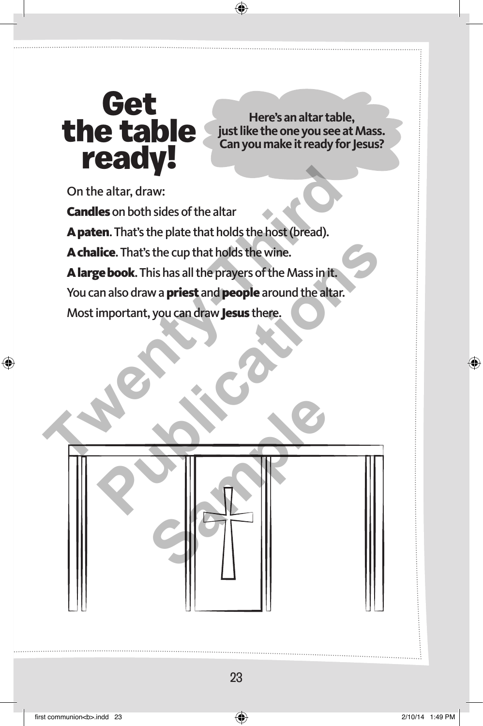#### Get the table ready!

**Here's an altar table, just like the one you see at Mass. Can you make it ready for Jesus?** 

On the altar, draw:

Candles on both sides of the altar

A paten. That's the plate that holds the host (bread).

A chalice. That's the cup that holds the wine.

A large book. This has all the prayers of the Mass in it.

You can also draw a **priest** and **people** around the altar.

Most important, you can draw Jesus there.

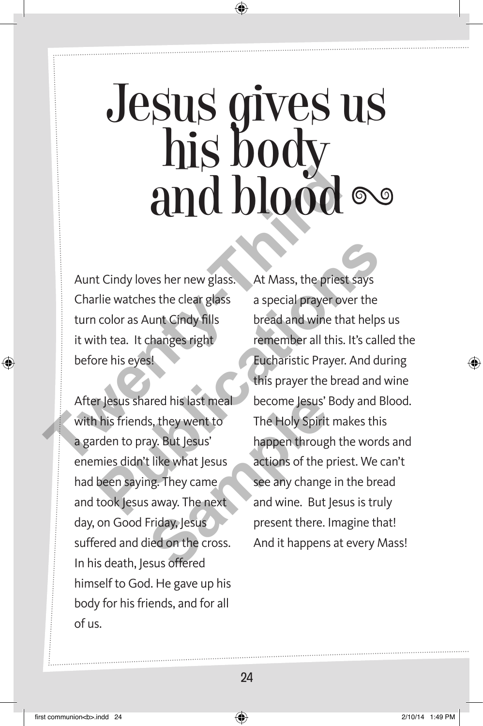# Jesus gives us<br>his body

Aunt Cindy loves her new glass. Charlie watches the clear glass turn color as Aunt Cindy fills it with tea. It changes right before his eyes!

After Jesus shared his last meal with his friends, they went to a garden to pray. But Jesus' enemies didn't like what Jesus had been saying. They came and took Jesus away. The next day, on Good Friday, Jesus suffered and died on the cross. In his death, Jesus offered himself to God. He gave up his body for his friends, and for all of us. ared his last meal<br>
Is, they went to<br>
Is, they went to<br>
The Holy Spirit<br>
ay. But Jesus<br>
t like what Jesus<br>
actions of the p<br>
ng. They came<br>
see any change<br>
is away. The next<br>
Friday, Jesus<br>
Jesus<br>
Present there. I<br>
lied on

and **blood**<br>
Aunt Cindy loves her new glass. At Mass, the priest s<br>
Charlie watches the clear glass<br>
Charlie watches the clear glass<br>
turn color as Aunt Cindy fills<br>
it with tea. It changes right<br>
it with tea. It changes r At Mass, the priest says a special prayer over the bread and wine that helps us remember all this. It's called the Eucharistic Prayer. And during this prayer the bread and wine become Jesus' Body and Blood. The Holy Spirit makes this happen through the words and actions of the priest. We can't see any change in the bread and wine. But Jesus is truly present there. Imagine that! And it happens at every Mass! Example 18 The Watches the clear glass. At Mass, the priest says<br>
File watches the clear glass a special prayer over the<br>
color as Aunt Cindy fills<br>
the tead and wine that helps u<br>
the tead and wine that helps u<br>
this eves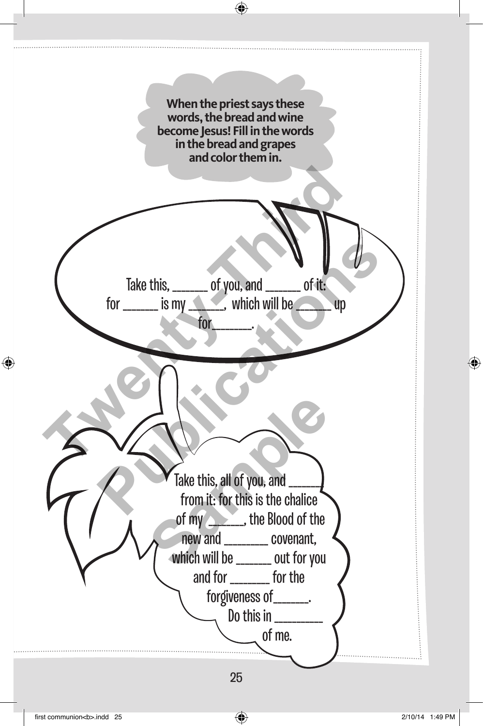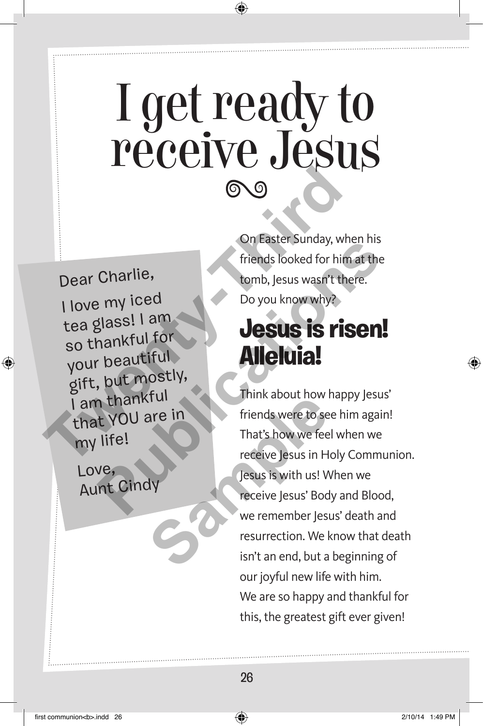## I get ready to receive Jesus

Dear Charlie, I love my ice<sup>d</sup> tea glass! I am so thankful for your beautiful gift, but mostly, I am thankful that YOU are in my life! On Easter Sunday, whe<br>
Dear Charlie,<br>
Third slooked for him<br>
tends looked for him<br>
tends looked for him<br>
tends looked for him<br>
tends looked for him<br>
that Sulve my iced<br>
so thankful for<br>
your beautiful<br>
gift, but mostly,<br>
I

Love, Aunt Cindy On Easter Sunday, when his friends looked for him at the tomb, Jesus wasn't there. Do you know why?

#### **Jesus is risen! Alleluia!**

Think about how happy Jesus' friends were to see him again! That's how we feel when we receive Jesus in Holy Communion. Jesus is with us! When we receive Jesus' Body and Blood, we remember Jesus' death and resurrection. We know that death isn't an end, but a beginning of our joyful new life with him. We are so happy and thankful for this, the greatest gift ever given! Charlie,<br>
my iced<br>
and ite tomb, Jesus wasn't there.<br>
Publications which with the tomb, Jesus wasn't there.<br>
Do you know why?<br>
and the computations of the computations of the computations of the computations of the computa Trunches Winnin about How<br>
That's how we fee<br>
That's how we fee<br>
receive Jesus in H<br>
Jesus is with us! W<br>
receive Jesus' Bod<br>
we remember Jesu<br>
resurrection. We l<br>
isn't an end, but a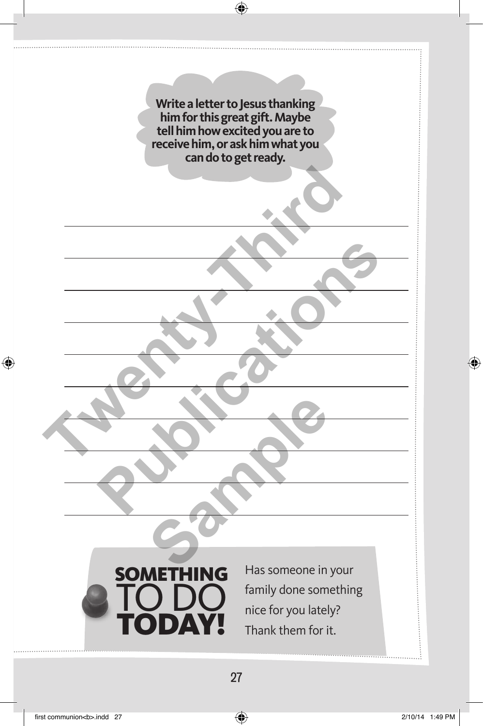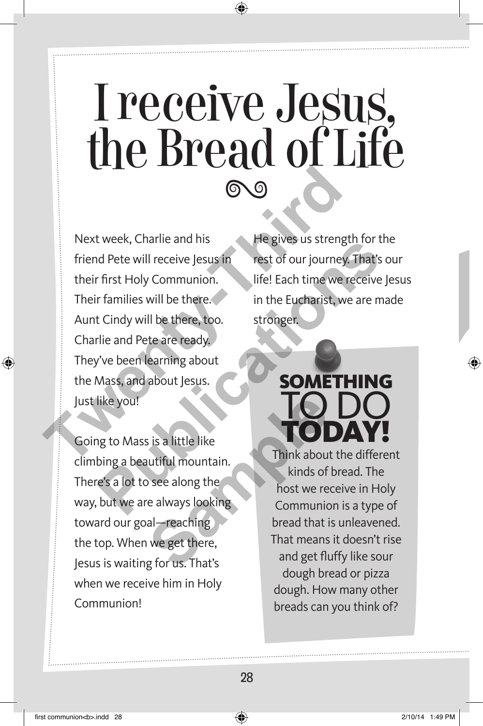## I receive Jesus, the Bread of Life

Next week, Charlie and his friend Pete will receive Jesus in their first Holy Communion. Their families will be there. Aunt Cindy will be there, too. Charlie and Pete are ready. They've been learning about the Mass, and about Jesus. Just like you! Next week, Charlie and his<br>
The gives us strength<br>
friend Pete will receive Jesus in<br>
friend Pete will receive Jesus in<br>
Their families will be there.<br>
Their families will be there, too.<br>
Charlie and Pete are ready.<br>
They' Framilies will receive Jesus in<br>
refer will receive Jesus in<br>
First Holy Communion.<br>
If the Eucharist, we are made to carry will be there, too.<br>
Think about Mass, and about Jesus.<br>
Think about the difference in Holy<br>
Think

Going to Mass is a little like climbing a beautiful mountain. There's a lot to see along the way, but we are always looking toward our goal—reaching the top. When we get there, Jesus is waiting for us. That's when we receive him in Holy Communion! Sis a little like<br>
utiful mountain.<br>
December of the sealing<br>
tinds of<br>
the end and get there,<br>
get there,<br>
get that's<br>
and get flu<br>
and get flu<br>
and get flu<br>
and get flu<br>
and get flu<br>
and get flu<br>
and get flu<br>
and get flu

He gives us strength for the rest of our journey. That's our life! Each time we receive Jesus in the Eucharist, we are made stronger.

#### SOM to do today!

Think about the different kinds of bread. The host we receive in Holy Communion is a type of bread that is unleavened. That means it doesn't rise and get fluffy like sour dough bread or pizza dough. How many other breads can you think of?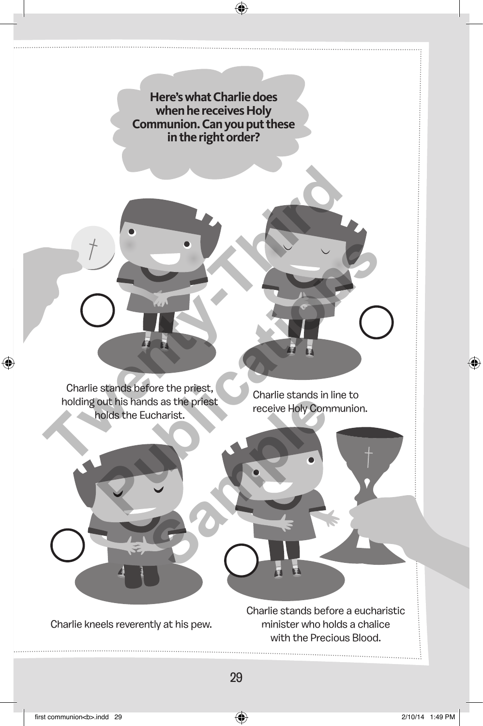**Here's what Charlie does when he receives Holy Communion. Can you put these in the right order?** 

Charlie stands before the priest, holding out his hands as the priest holds the Eucharist. The stands before the priest,<br>Charlie stands before the priest,<br>holding out his hands as the priest,<br>holding out his hands as the priest,<br>receive Holy Communic

Charlie stands in line to receive Holy Communion.



Charlie kneels reverently at his pew.

Charlie stands before a eucharistic minister who holds a chalice with the Precious Blood.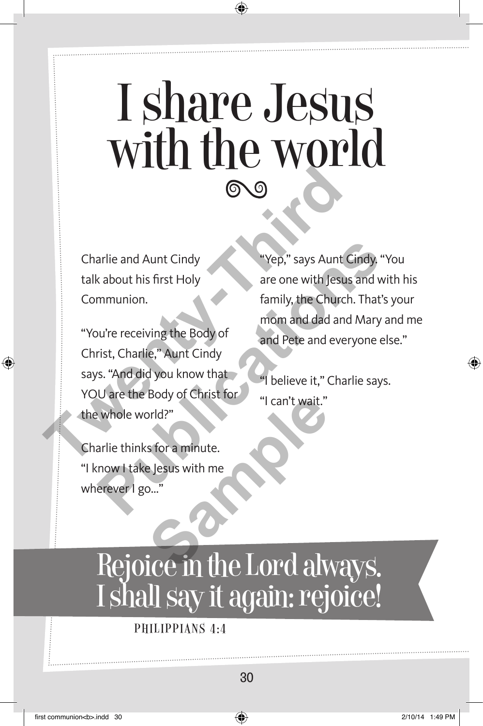## I share Jesus with the world

Charlie and Aunt Cindy talk about his first Holy Communion.

"You're receiving the Body of Christ, Charlie," Aunt Cindy says. "And did you know that YOU are the Body of Christ for the whole world?" Charlie and Aunt Cindy<br>
Tharlie and Aunt Cindy<br>
talk about his first Holy<br>
Communion.<br>
"You're receiving the Body of<br>
christ, Charlie," Aunt Cindy<br>
says. "And did you know that<br>
You'are the Body of Christ for<br>
"I can't wai arlie and Aunt Cindy<br>
k about his first Holy<br>
where one with Jesus and with<br>
mununion.<br>
wire receiving the Body of<br>
rist, Charlie," Aunt Cindy<br>
s. "And did you know that<br>
y believe it," Charlie says.<br>
Lare the Body of Chri

"Yep," says Aunt Cindy. "You are one with Jesus and with his family, the Church. That's your mom and dad and Mary and me and Pete and everyone else."

"I believe it," Charlie says. "I can't wait."

Charlie thinks for a minute. "I know I take Jesus with me wherever I go..." School of Christ Form of Tran't wait."<br>
Stora minute.<br>
Besus with me<br> **Sample 2018**<br>
Sample 2019<br>
Since in the Lord alw

#### Rejoice in the Lord always. I shall say it again: rejoice!

PHILIPPIANS 4:4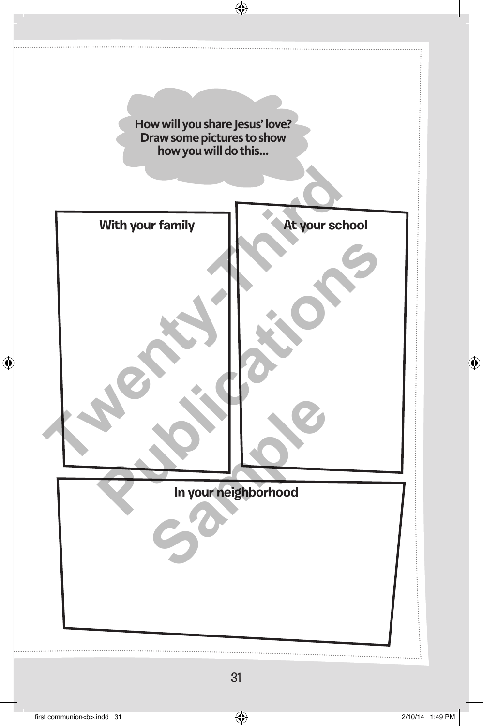